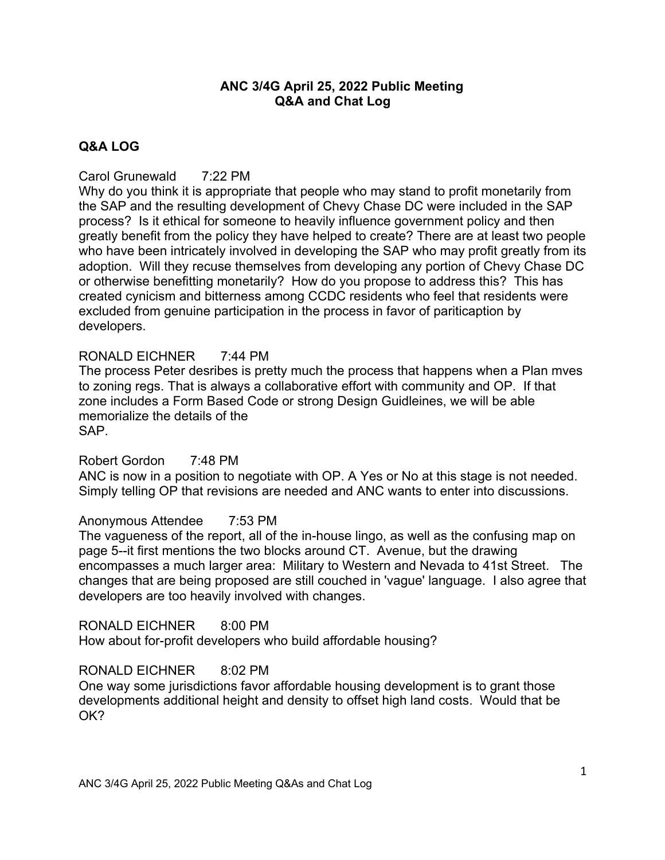# **ANC 3/4G April 25, 2022 Public Meeting Q&A and Chat Log**

# **Q&A LOG**

# Carol Grunewald 7:22 PM

Why do you think it is appropriate that people who may stand to profit monetarily from the SAP and the resulting development of Chevy Chase DC were included in the SAP process? Is it ethical for someone to heavily influence government policy and then greatly benefit from the policy they have helped to create? There are at least two people who have been intricately involved in developing the SAP who may profit greatly from its adoption. Will they recuse themselves from developing any portion of Chevy Chase DC or otherwise benefitting monetarily? How do you propose to address this? This has created cynicism and bitterness among CCDC residents who feel that residents were excluded from genuine participation in the process in favor of pariticaption by developers.

# RONALD EICHNER 7:44 PM

The process Peter desribes is pretty much the process that happens when a Plan mves to zoning regs. That is always a collaborative effort with community and OP. If that zone includes a Form Based Code or strong Design Guidleines, we will be able memorialize the details of the SAP.

# Robert Gordon 7:48 PM

ANC is now in a position to negotiate with OP. A Yes or No at this stage is not needed. Simply telling OP that revisions are needed and ANC wants to enter into discussions.

# Anonymous Attendee 7:53 PM

The vagueness of the report, all of the in-house lingo, as well as the confusing map on page 5--it first mentions the two blocks around CT. Avenue, but the drawing encompasses a much larger area: Military to Western and Nevada to 41st Street. The changes that are being proposed are still couched in 'vague' language. I also agree that developers are too heavily involved with changes.

#### RONALD EICHNER 8:00 PM

How about for-profit developers who build affordable housing?

# RONALD EICHNER 8:02 PM

One way some jurisdictions favor affordable housing development is to grant those developments additional height and density to offset high land costs. Would that be OK?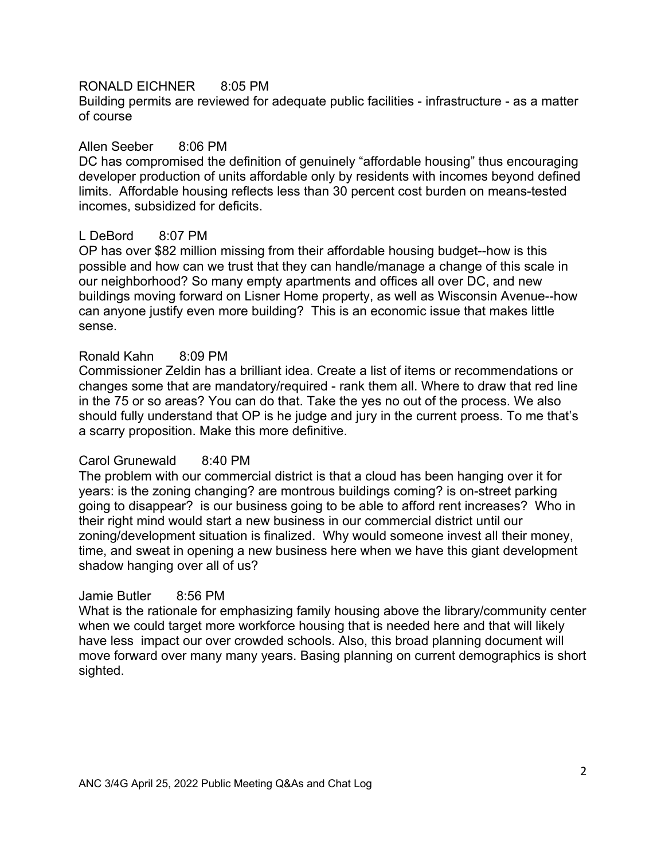## RONALD EICHNER 8:05 PM

Building permits are reviewed for adequate public facilities - infrastructure - as a matter of course

### Allen Seeber 8:06 PM

DC has compromised the definition of genuinely "affordable housing" thus encouraging developer production of units affordable only by residents with incomes beyond defined limits. Affordable housing reflects less than 30 percent cost burden on means-tested incomes, subsidized for deficits.

## L DeBord 8:07 PM

OP has over \$82 million missing from their affordable housing budget--how is this possible and how can we trust that they can handle/manage a change of this scale in our neighborhood? So many empty apartments and offices all over DC, and new buildings moving forward on Lisner Home property, as well as Wisconsin Avenue--how can anyone justify even more building? This is an economic issue that makes little sense.

## Ronald Kahn 8:09 PM

Commissioner Zeldin has a brilliant idea. Create a list of items or recommendations or changes some that are mandatory/required - rank them all. Where to draw that red line in the 75 or so areas? You can do that. Take the yes no out of the process. We also should fully understand that OP is he judge and jury in the current proess. To me that's a scarry proposition. Make this more definitive.

#### Carol Grunewald 8:40 PM

The problem with our commercial district is that a cloud has been hanging over it for years: is the zoning changing? are montrous buildings coming? is on-street parking going to disappear? is our business going to be able to afford rent increases? Who in their right mind would start a new business in our commercial district until our zoning/development situation is finalized. Why would someone invest all their money, time, and sweat in opening a new business here when we have this giant development shadow hanging over all of us?

#### Jamie Butler 8:56 PM

What is the rationale for emphasizing family housing above the library/community center when we could target more workforce housing that is needed here and that will likely have less impact our over crowded schools. Also, this broad planning document will move forward over many many years. Basing planning on current demographics is short sighted.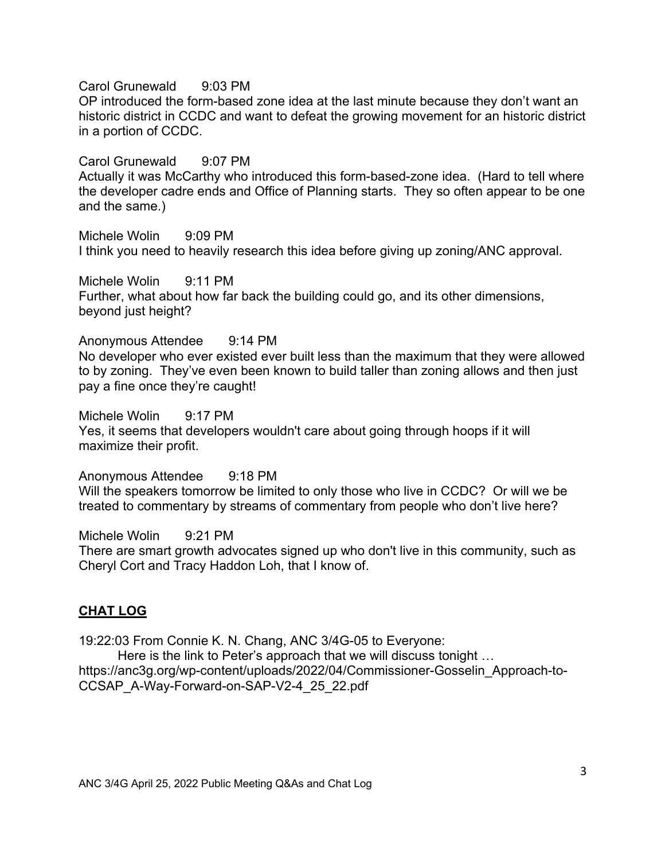#### Carol Grunewald 9:03 PM

OP introduced the form-based zone idea at the last minute because they don't want an historic district in CCDC and want to defeat the growing movement for an historic district in a portion of CCDC.

Carol Grunewald 9:07 PM

Actually it was McCarthy who introduced this form-based-zone idea. (Hard to tell where the developer cadre ends and Office of Planning starts. They so often appear to be one and the same.)

Michele Wolin 9:09 PM I think you need to heavily research this idea before giving up zoning/ANC approval.

Michele Wolin 9:11 PM Further, what about how far back the building could go, and its other dimensions, beyond just height?

Anonymous Attendee 9:14 PM

No developer who ever existed ever built less than the maximum that they were allowed to by zoning. They've even been known to build taller than zoning allows and then just pay a fine once they're caught!

Michele Wolin 9:17 PM Yes, it seems that developers wouldn't care about going through hoops if it will maximize their profit.

Anonymous Attendee 9:18 PM Will the speakers tomorrow be limited to only those who live in CCDC? Or will we be treated to commentary by streams of commentary from people who don't live here?

Michele Wolin 9:21 PM There are smart growth advocates signed up who don't live in this community, such as Cheryl Cort and Tracy Haddon Loh, that I know of.

# **CHAT LOG**

19:22:03 From Connie K. N. Chang, ANC 3/4G-05 to Everyone:

Here is the link to Peter's approach that we will discuss tonight … https://anc3g.org/wp-content/uploads/2022/04/Commissioner-Gosselin\_Approach-to-CCSAP\_A-Way-Forward-on-SAP-V2-4\_25\_22.pdf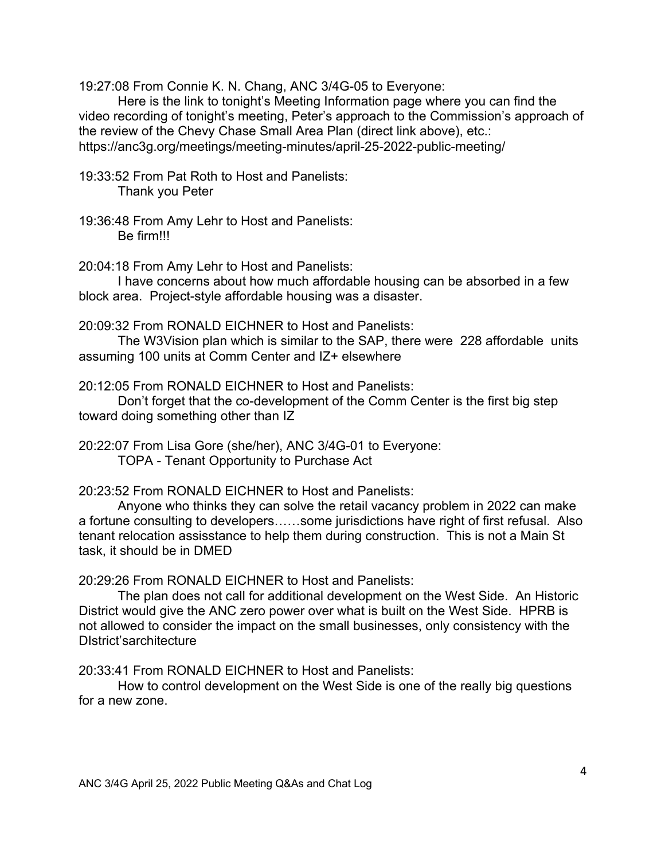19:27:08 From Connie K. N. Chang, ANC 3/4G-05 to Everyone:

Here is the link to tonight's Meeting Information page where you can find the video recording of tonight's meeting, Peter's approach to the Commission's approach of the review of the Chevy Chase Small Area Plan (direct link above), etc.: https://anc3g.org/meetings/meeting-minutes/april-25-2022-public-meeting/

19:33:52 From Pat Roth to Host and Panelists: Thank you Peter

19:36:48 From Amy Lehr to Host and Panelists: Be firm!!!

20:04:18 From Amy Lehr to Host and Panelists:

I have concerns about how much affordable housing can be absorbed in a few block area. Project-style affordable housing was a disaster.

20:09:32 From RONALD EICHNER to Host and Panelists:

The W3Vision plan which is similar to the SAP, there were 228 affordable units assuming 100 units at Comm Center and IZ+ elsewhere

20:12:05 From RONALD EICHNER to Host and Panelists:

Don't forget that the co-development of the Comm Center is the first big step toward doing something other than IZ

20:22:07 From Lisa Gore (she/her), ANC 3/4G-01 to Everyone: TOPA - Tenant Opportunity to Purchase Act

20:23:52 From RONALD EICHNER to Host and Panelists:

Anyone who thinks they can solve the retail vacancy problem in 2022 can make a fortune consulting to developers……some jurisdictions have right of first refusal. Also tenant relocation assisstance to help them during construction. This is not a Main St task, it should be in DMED

20:29:26 From RONALD EICHNER to Host and Panelists:

The plan does not call for additional development on the West Side. An Historic District would give the ANC zero power over what is built on the West Side. HPRB is not allowed to consider the impact on the small businesses, only consistency with the DIstrict'sarchitecture

20:33:41 From RONALD EICHNER to Host and Panelists:

How to control development on the West Side is one of the really big questions for a new zone.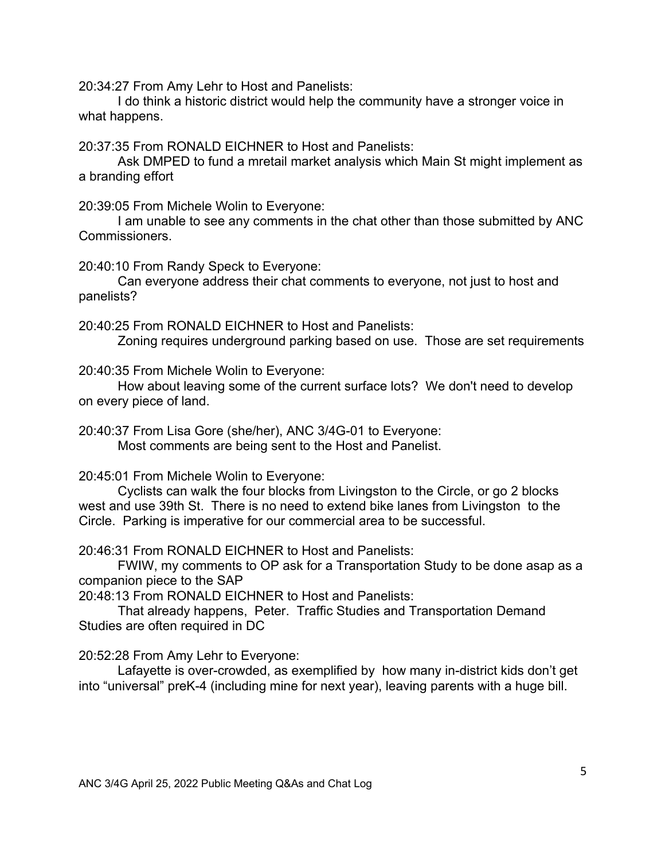20:34:27 From Amy Lehr to Host and Panelists:

I do think a historic district would help the community have a stronger voice in what happens.

20:37:35 From RONALD EICHNER to Host and Panelists:

Ask DMPED to fund a mretail market analysis which Main St might implement as a branding effort

20:39:05 From Michele Wolin to Everyone:

I am unable to see any comments in the chat other than those submitted by ANC Commissioners.

20:40:10 From Randy Speck to Everyone:

Can everyone address their chat comments to everyone, not just to host and panelists?

20:40:25 From RONALD EICHNER to Host and Panelists: Zoning requires underground parking based on use. Those are set requirements

20:40:35 From Michele Wolin to Everyone:

How about leaving some of the current surface lots? We don't need to develop on every piece of land.

20:40:37 From Lisa Gore (she/her), ANC 3/4G-01 to Everyone: Most comments are being sent to the Host and Panelist.

20:45:01 From Michele Wolin to Everyone:

Cyclists can walk the four blocks from Livingston to the Circle, or go 2 blocks west and use 39th St. There is no need to extend bike lanes from Livingston to the Circle. Parking is imperative for our commercial area to be successful.

20:46:31 From RONALD EICHNER to Host and Panelists:

FWIW, my comments to OP ask for a Transportation Study to be done asap as a companion piece to the SAP

20:48:13 From RONALD EICHNER to Host and Panelists:

That already happens, Peter. Traffic Studies and Transportation Demand Studies are often required in DC

20:52:28 From Amy Lehr to Everyone:

Lafayette is over-crowded, as exemplified by how many in-district kids don't get into "universal" preK-4 (including mine for next year), leaving parents with a huge bill.